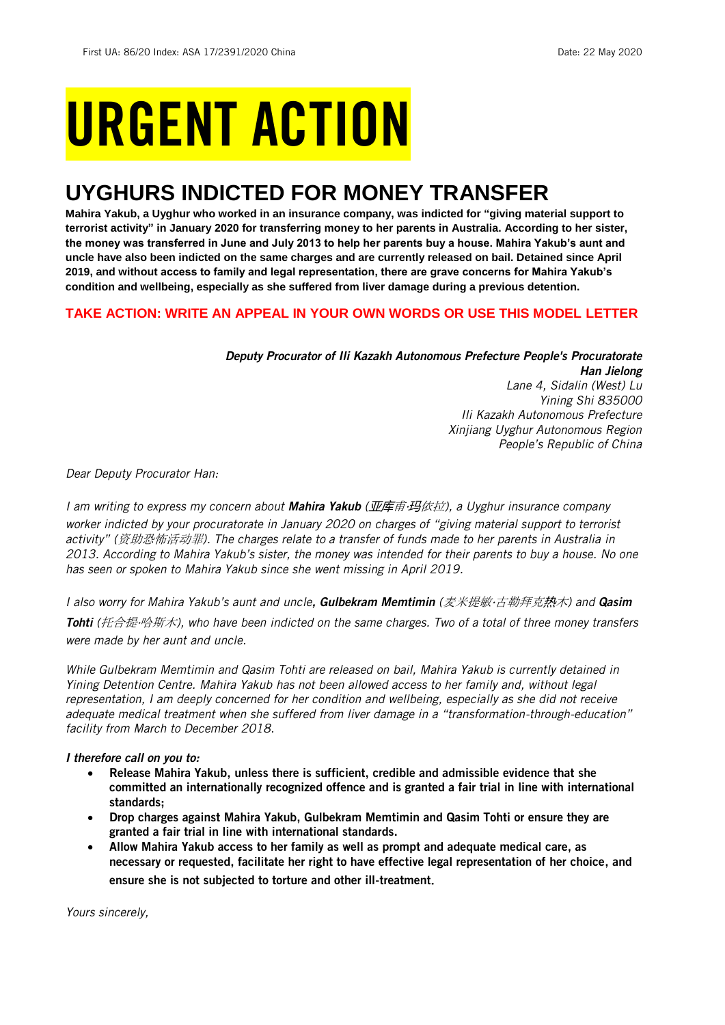# URGENT ACTION

## **UYGHURS INDICTED FOR MONEY TRANSFER**

**Mahira Yakub, a Uyghur who worked in an insurance company, was indicted for "giving material support to terrorist activity" in January 2020 for transferring money to her parents in Australia. According to her sister, the money was transferred in June and July 2013 to help her parents buy a house. Mahira Yakub's aunt and uncle have also been indicted on the same charges and are currently released on bail. Detained since April 2019, and without access to family and legal representation, there are grave concerns for Mahira Yakub's condition and wellbeing, especially as she suffered from liver damage during a previous detention.**

#### **TAKE ACTION: WRITE AN APPEAL IN YOUR OWN WORDS OR USE THIS MODEL LETTER**

#### *Deputy Procurator of Ili Kazakh Autonomous Prefecture People's Procuratorate Han Jielong Lane 4, Sidalin (West) Lu Yining Shi 835000 Ili Kazakh Autonomous Prefecture Xinjiang Uyghur Autonomous Region People's Republic of China*

*Dear Deputy Procurator Han:*

*I am writing to express my concern about Mahira Yakub (*亚库甫‧玛依拉*), a Uyghur insurance company worker indicted by your procuratorate in January 2020 on charges of "giving material support to terrorist activity" (*资助恐怖活动罪*). The charges relate to a transfer of funds made to her parents in Australia in 2013. According to Mahira Yakub's sister, the money was intended for their parents to buy a house. No one has seen or spoken to Mahira Yakub since she went missing in April 2019.* 

*I also worry for Mahira Yakub's aunt and uncle, Gulbekram Memtimin (*麦米提敏‧古勒拜克热木*) and Qasim* 

*Tohti (*托合提‧哈斯木*), who have been indicted on the same charges. Two of a total of three money transfers were made by her aunt and uncle.* 

*While Gulbekram Memtimin and Qasim Tohti are released on bail, Mahira Yakub is currently detained in Yining Detention Centre. Mahira Yakub has not been allowed access to her family and, without legal representation, I am deeply concerned for her condition and wellbeing, especially as she did not receive adequate medical treatment when she suffered from liver damage in a "transformation-through-education" facility from March to December 2018.* 

#### *I therefore call on you to:*

- Release Mahira Yakub, unless there is sufficient, credible and admissible evidence that she committed an internationally recognized offence and is granted a fair trial in line with international standards;
- Drop charges against Mahira Yakub, Gulbekram Memtimin and Qasim Tohti or ensure they are granted a fair trial in line with international standards.
- Allow Mahira Yakub access to her family as well as prompt and adequate medical care, as necessary or requested, facilitate her right to have effective legal representation of her choice, and ensure she is not subjected to torture and other ill-treatment.

*Yours sincerely,*